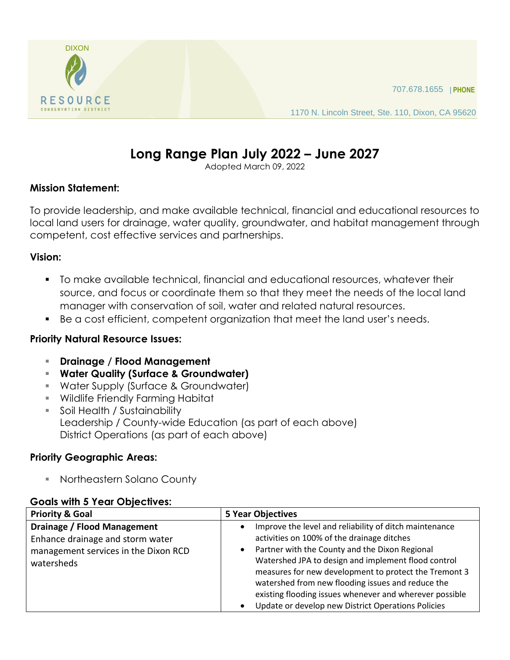

1170 N. Lincoln Street, Ste. 110, Dixon, CA 95620

# **Long Range Plan July 2022 – June 2027**

Adopted March 09, 2022

#### **Mission Statement:**

To provide leadership, and make available technical, financial and educational resources to local land users for drainage, water quality, groundwater, and habitat management through competent, cost effective services and partnerships.

#### **Vision:**

- To make available technical, financial and educational resources, whatever their source, and focus or coordinate them so that they meet the needs of the local land manager with conservation of soil, water and related natural resources.
- Be a cost efficient, competent organization that meet the land user's needs.

#### **Priority Natural Resource Issues:**

- **Drainage / Flood Management**
- **Water Quality (Surface & Groundwater)**
- Water Supply (Surface & Groundwater)
- Wildlife Friendly Farming Habitat
- **Soil Health / Sustainability** Leadership / County-wide Education (as part of each above) District Operations (as part of each above)

# **Priority Geographic Areas:**

Northeastern Solano County

#### **Goals with 5 Year Objectives:**

| <b>Priority &amp; Goal</b>                                                                                            | <b>5 Year Objectives</b>                                                                                                                                                                                                                                                                                                                                                                                                                                                            |  |
|-----------------------------------------------------------------------------------------------------------------------|-------------------------------------------------------------------------------------------------------------------------------------------------------------------------------------------------------------------------------------------------------------------------------------------------------------------------------------------------------------------------------------------------------------------------------------------------------------------------------------|--|
| Drainage / Flood Management<br>Enhance drainage and storm water<br>management services in the Dixon RCD<br>watersheds | Improve the level and reliability of ditch maintenance<br>$\bullet$<br>activities on 100% of the drainage ditches<br>Partner with the County and the Dixon Regional<br>$\bullet$<br>Watershed JPA to design and implement flood control<br>measures for new development to protect the Tremont 3<br>watershed from new flooding issues and reduce the<br>existing flooding issues whenever and wherever possible<br>Update or develop new District Operations Policies<br>$\bullet$ |  |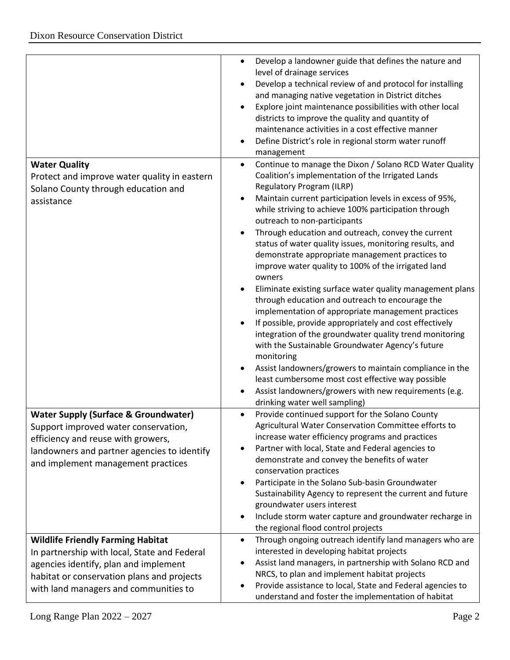|                                                                      | Develop a landowner guide that defines the nature and<br>$\bullet$<br>level of drainage services<br>Develop a technical review of and protocol for installing<br>and managing native vegetation in District ditches<br>Explore joint maintenance possibilities with other local<br>districts to improve the quality and quantity of |
|----------------------------------------------------------------------|-------------------------------------------------------------------------------------------------------------------------------------------------------------------------------------------------------------------------------------------------------------------------------------------------------------------------------------|
|                                                                      | maintenance activities in a cost effective manner<br>Define District's role in regional storm water runoff<br>$\bullet$                                                                                                                                                                                                             |
|                                                                      | management                                                                                                                                                                                                                                                                                                                          |
| <b>Water Quality</b><br>Protect and improve water quality in eastern | Continue to manage the Dixon / Solano RCD Water Quality<br>$\bullet$<br>Coalition's implementation of the Irrigated Lands                                                                                                                                                                                                           |
| Solano County through education and                                  | Regulatory Program (ILRP)                                                                                                                                                                                                                                                                                                           |
| assistance                                                           | Maintain current participation levels in excess of 95%,<br>while striving to achieve 100% participation through<br>outreach to non-participants                                                                                                                                                                                     |
|                                                                      | Through education and outreach, convey the current                                                                                                                                                                                                                                                                                  |
|                                                                      | status of water quality issues, monitoring results, and                                                                                                                                                                                                                                                                             |
|                                                                      | demonstrate appropriate management practices to                                                                                                                                                                                                                                                                                     |
|                                                                      | improve water quality to 100% of the irrigated land<br>owners                                                                                                                                                                                                                                                                       |
|                                                                      | Eliminate existing surface water quality management plans                                                                                                                                                                                                                                                                           |
|                                                                      | through education and outreach to encourage the                                                                                                                                                                                                                                                                                     |
|                                                                      | implementation of appropriate management practices<br>If possible, provide appropriately and cost effectively                                                                                                                                                                                                                       |
|                                                                      | integration of the groundwater quality trend monitoring<br>with the Sustainable Groundwater Agency's future<br>monitoring                                                                                                                                                                                                           |
|                                                                      | Assist landowners/growers to maintain compliance in the                                                                                                                                                                                                                                                                             |
|                                                                      | least cumbersome most cost effective way possible                                                                                                                                                                                                                                                                                   |
|                                                                      | Assist landowners/growers with new requirements (e.g.<br>drinking water well sampling)                                                                                                                                                                                                                                              |
| <b>Water Supply (Surface &amp; Groundwater)</b>                      | Provide continued support for the Solano County                                                                                                                                                                                                                                                                                     |
| Support improved water conservation,                                 | Agricultural Water Conservation Committee efforts to                                                                                                                                                                                                                                                                                |
| efficiency and reuse with growers,                                   | increase water efficiency programs and practices<br>Partner with local, State and Federal agencies to                                                                                                                                                                                                                               |
| landowners and partner agencies to identify                          | demonstrate and convey the benefits of water                                                                                                                                                                                                                                                                                        |
| and implement management practices                                   | conservation practices                                                                                                                                                                                                                                                                                                              |
|                                                                      | Participate in the Solano Sub-basin Groundwater                                                                                                                                                                                                                                                                                     |
|                                                                      | Sustainability Agency to represent the current and future                                                                                                                                                                                                                                                                           |
|                                                                      | groundwater users interest                                                                                                                                                                                                                                                                                                          |
|                                                                      | Include storm water capture and groundwater recharge in                                                                                                                                                                                                                                                                             |
|                                                                      | the regional flood control projects                                                                                                                                                                                                                                                                                                 |
| <b>Wildlife Friendly Farming Habitat</b>                             | Through ongoing outreach identify land managers who are<br>$\bullet$                                                                                                                                                                                                                                                                |
| In partnership with local, State and Federal                         | interested in developing habitat projects                                                                                                                                                                                                                                                                                           |
| agencies identify, plan and implement                                | Assist land managers, in partnership with Solano RCD and<br>NRCS, to plan and implement habitat projects                                                                                                                                                                                                                            |
| habitat or conservation plans and projects                           | Provide assistance to local, State and Federal agencies to                                                                                                                                                                                                                                                                          |
| with land managers and communities to                                | understand and foster the implementation of habitat                                                                                                                                                                                                                                                                                 |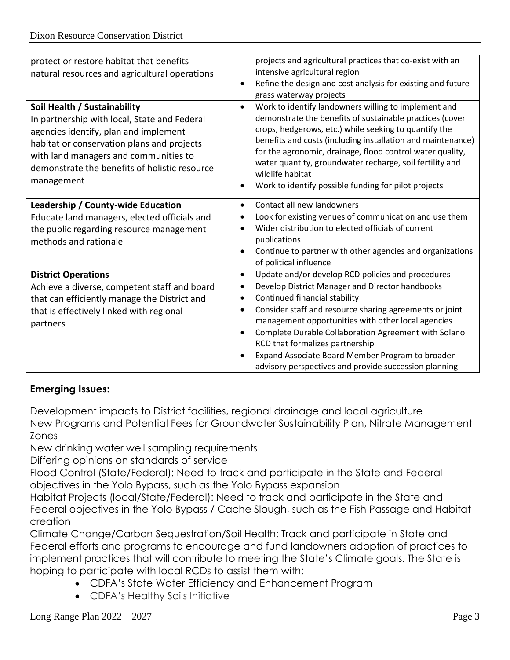| protect or restore habitat that benefits      | projects and agricultural practices that co-exist with an                |
|-----------------------------------------------|--------------------------------------------------------------------------|
| natural resources and agricultural operations | intensive agricultural region                                            |
|                                               | Refine the design and cost analysis for existing and future<br>$\bullet$ |
|                                               | grass waterway projects                                                  |
| Soil Health / Sustainability                  | Work to identify landowners willing to implement and<br>$\bullet$        |
| In partnership with local, State and Federal  | demonstrate the benefits of sustainable practices (cover                 |
| agencies identify, plan and implement         | crops, hedgerows, etc.) while seeking to quantify the                    |
| habitat or conservation plans and projects    | benefits and costs (including installation and maintenance)              |
| with land managers and communities to         | for the agronomic, drainage, flood control water quality,                |
| demonstrate the benefits of holistic resource | water quantity, groundwater recharge, soil fertility and                 |
| management                                    | wildlife habitat                                                         |
|                                               | Work to identify possible funding for pilot projects                     |
| Leadership / County-wide Education            | Contact all new landowners<br>$\bullet$                                  |
| Educate land managers, elected officials and  | Look for existing venues of communication and use them<br>$\bullet$      |
| the public regarding resource management      | Wider distribution to elected officials of current                       |
| methods and rationale                         | publications                                                             |
|                                               | Continue to partner with other agencies and organizations<br>$\bullet$   |
|                                               | of political influence                                                   |
| <b>District Operations</b>                    | Update and/or develop RCD policies and procedures<br>$\bullet$           |
| Achieve a diverse, competent staff and board  | Develop District Manager and Director handbooks<br>٠                     |
| that can efficiently manage the District and  | Continued financial stability<br>$\bullet$                               |
| that is effectively linked with regional      | Consider staff and resource sharing agreements or joint                  |
| partners                                      | management opportunities with other local agencies                       |
|                                               | Complete Durable Collaboration Agreement with Solano<br>$\bullet$        |
|                                               | RCD that formalizes partnership                                          |
|                                               | Expand Associate Board Member Program to broaden                         |
|                                               | advisory perspectives and provide succession planning                    |

# **Emerging Issues:**

Development impacts to District facilities, regional drainage and local agriculture New Programs and Potential Fees for Groundwater Sustainability Plan, Nitrate Management Zones

New drinking water well sampling requirements

Differing opinions on standards of service

Flood Control (State/Federal): Need to track and participate in the State and Federal objectives in the Yolo Bypass, such as the Yolo Bypass expansion

Habitat Projects (local/State/Federal): Need to track and participate in the State and Federal objectives in the Yolo Bypass / Cache Slough, such as the Fish Passage and Habitat creation

Climate Change/Carbon Sequestration/Soil Health: Track and participate in State and Federal efforts and programs to encourage and fund landowners adoption of practices to implement practices that will contribute to meeting the State's Climate goals. The State is hoping to participate with local RCDs to assist them with:

- CDFA's State Water Efficiency and Enhancement Program
- CDFA's Healthy Soils Initiative